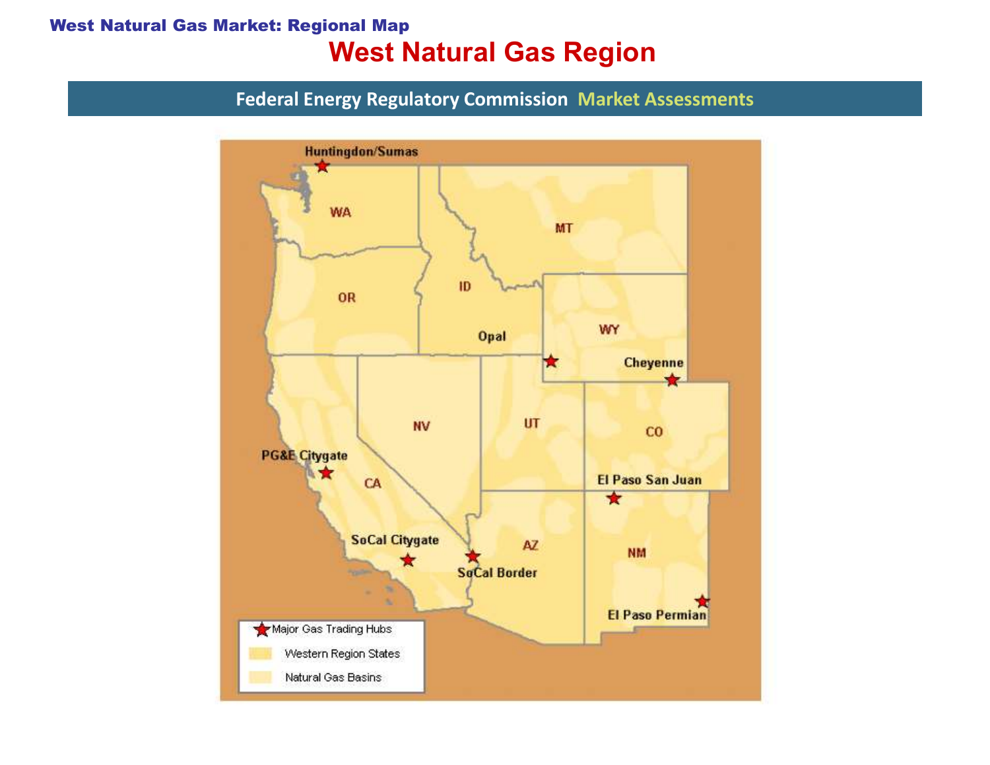## West Natural Gas Market: Regional Map West Natural Gas Region

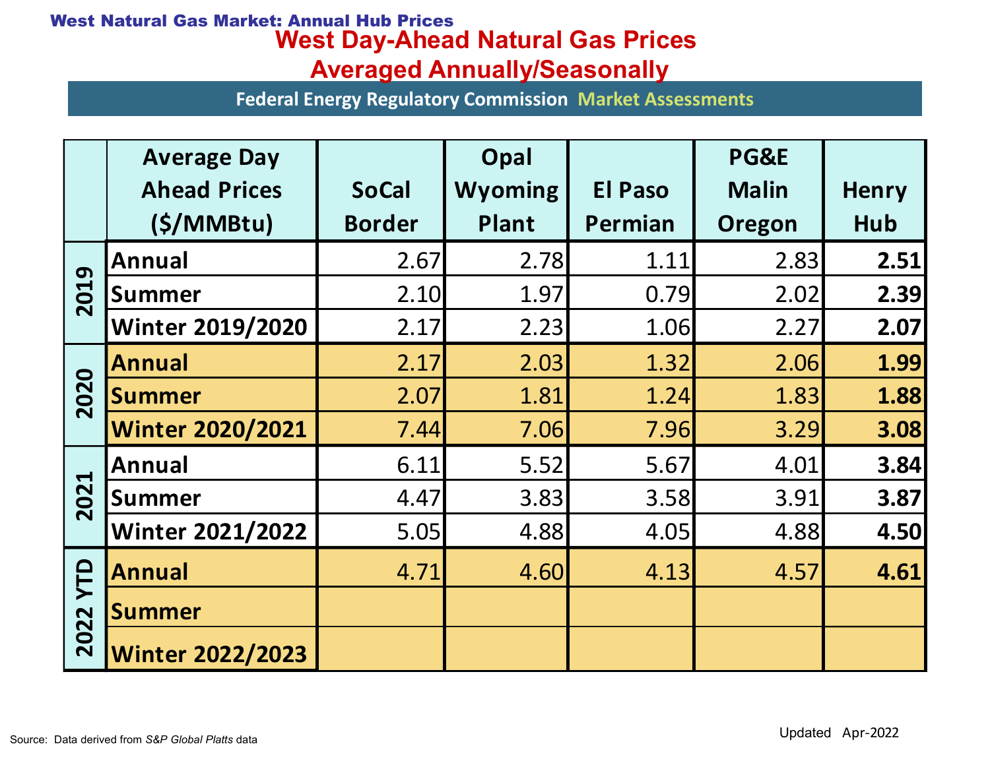## West Day-Ahead Natural Gas Prices West Natural Gas Market: Annual Hub Prices

# Averaged Annually/Seasonally

| lest Natural Gas Market: Annual Hub Prices<br><b>West Day-Ahead Natural Gas Prices</b><br><b>Averaged Annually/Seasonally</b><br><b>Federal Energy Regulatory Commission Market Assessments</b> |                               |                               |                                |                           |                        |                     |
|-------------------------------------------------------------------------------------------------------------------------------------------------------------------------------------------------|-------------------------------|-------------------------------|--------------------------------|---------------------------|------------------------|---------------------|
|                                                                                                                                                                                                 | <b>Average Day</b>            |                               | Opal                           |                           | <b>PG&amp;E</b>        |                     |
|                                                                                                                                                                                                 | <b>Ahead Prices</b><br>(S/MM) | <b>SoCal</b><br><b>Border</b> | <b>Wyoming</b><br><b>Plant</b> | <b>El Paso</b><br>Permian | <b>Malin</b><br>Oregon | <b>Henry</b><br>Hub |
| 2019                                                                                                                                                                                            | Annual                        | 2.67                          | 2.78                           | 1.11                      | 2.83                   | 2.51                |
|                                                                                                                                                                                                 | Summer                        | 2.10                          | 1.97                           | 0.79                      | 2.02                   | 2.39                |
|                                                                                                                                                                                                 | <b>Winter 2019/2020</b>       | 2.17                          | 2.23                           | 1.06                      | 2.27                   | 2.07                |
| 2020                                                                                                                                                                                            | Annual                        | 2.17                          | 2.03                           | 1.32                      | 2.06                   | 1.99                |
|                                                                                                                                                                                                 | Summer                        | 2.07                          | 1.81                           | 1.24                      | 1.83                   | 1.88                |
|                                                                                                                                                                                                 | <b>Winter 2020/2021</b>       | 7.44                          | 7.06                           | 7.96                      | 3.29                   | 3.08                |
| 2021                                                                                                                                                                                            | <b>Annual</b>                 | 6.11                          | 5.52                           | 5.67                      | 4.01                   | 3.84                |
|                                                                                                                                                                                                 | Summer                        | 4.47                          | 3.83                           | 3.58                      | 3.91                   | 3.87                |
|                                                                                                                                                                                                 | <b>Winter 2021/2022</b>       | 5.05                          | 4.88                           | 4.05                      | 4.88                   | 4.50                |
| <b>OLA</b><br>2022                                                                                                                                                                              | <b>Annual</b>                 | 4.71                          | 4.60                           | 4.13                      | 4.57                   | 4.61                |
|                                                                                                                                                                                                 | <b>Summer</b>                 |                               |                                |                           |                        |                     |
|                                                                                                                                                                                                 | <b>Winter 2022/2023</b>       |                               |                                |                           |                        |                     |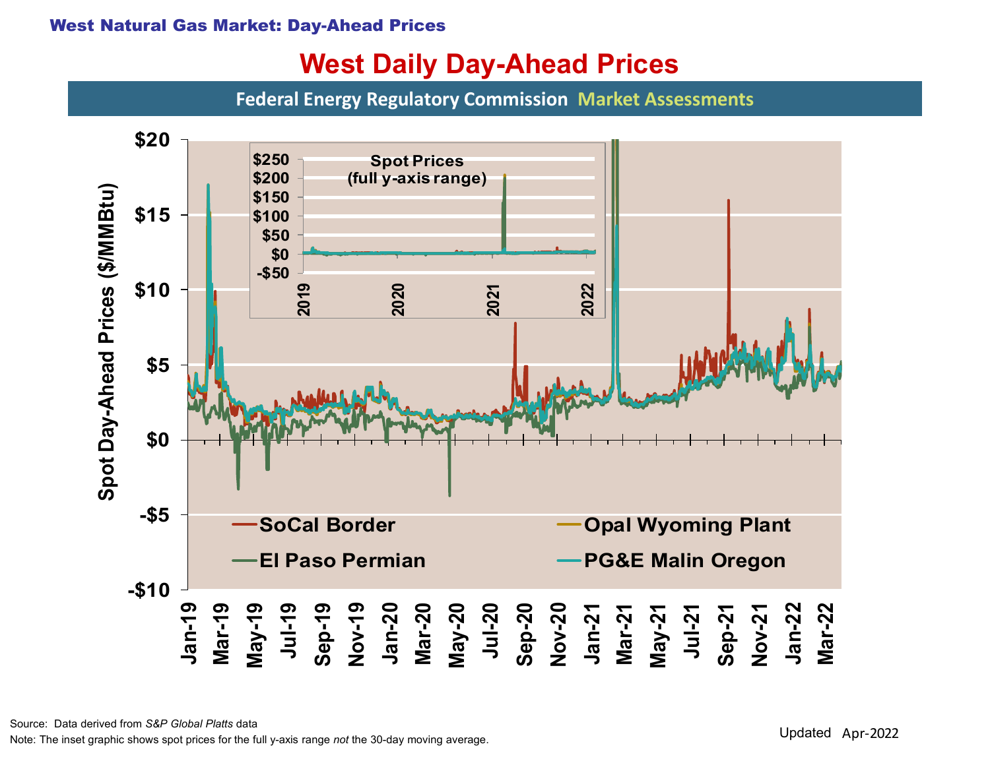### West Natural Gas Market: Day-Ahead Prices

# West Daily Day-Ahead Prices

Federal Energy Regulatory Commission Market Assessments



Updated Source: Data derived from S&P Global Platts data Note: The inset graphic shows spot prices for the full y-axis range not the 30-day moving average.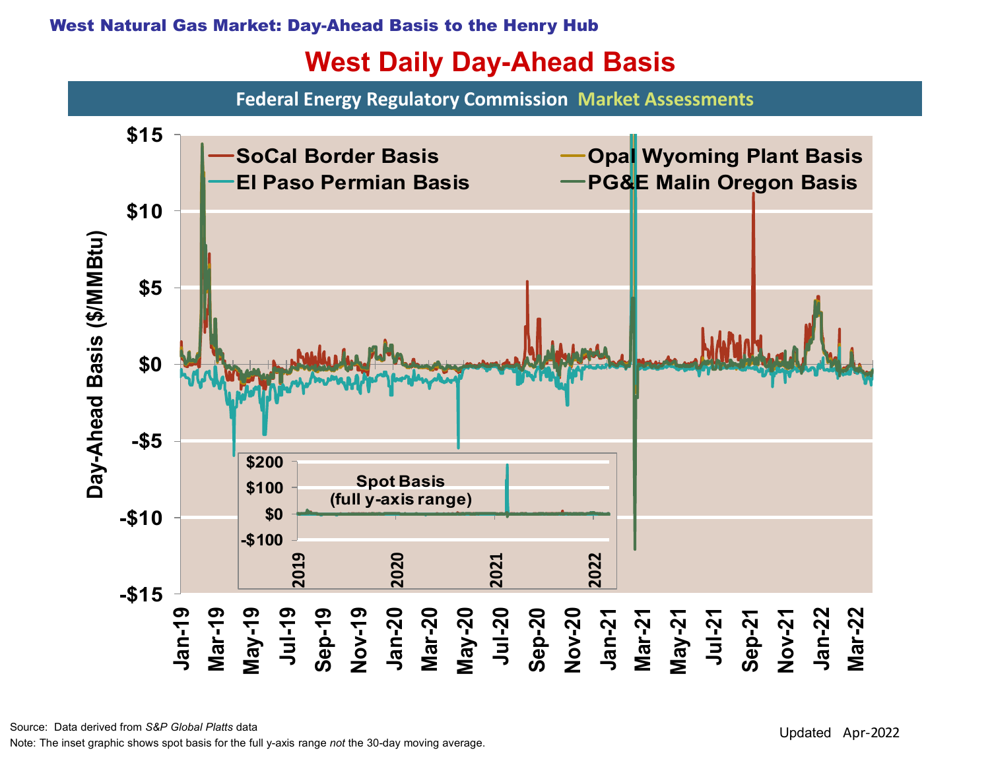# West Daily Day-Ahead Basis

Federal Energy Regulatory Commission Market Assessments



Note: The inset graphic shows spot basis for the full y-axis range not the 30-day moving average.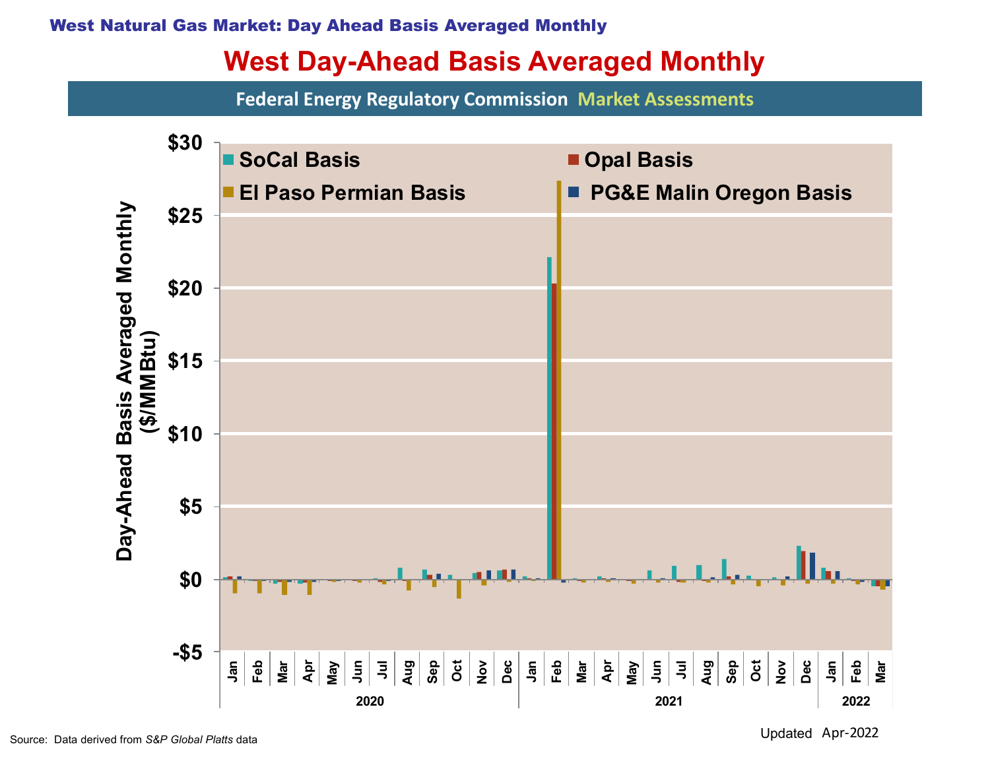### West Natural Gas Market: Day Ahead Basis Averaged Monthly

# West Day-Ahead Basis Averaged Monthly

Federal Energy Regulatory Commission Market Assessments



Updated Apr-2022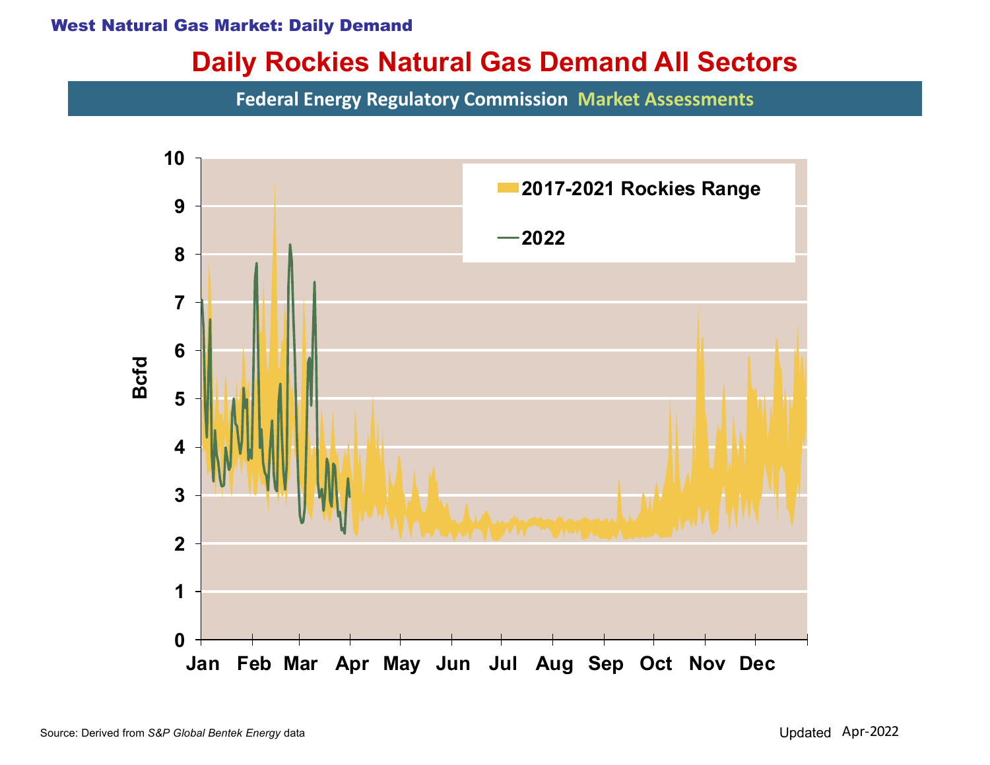#### West Natural Gas Market: Daily Demand

## Daily Rockies Natural Gas Demand All Sectors

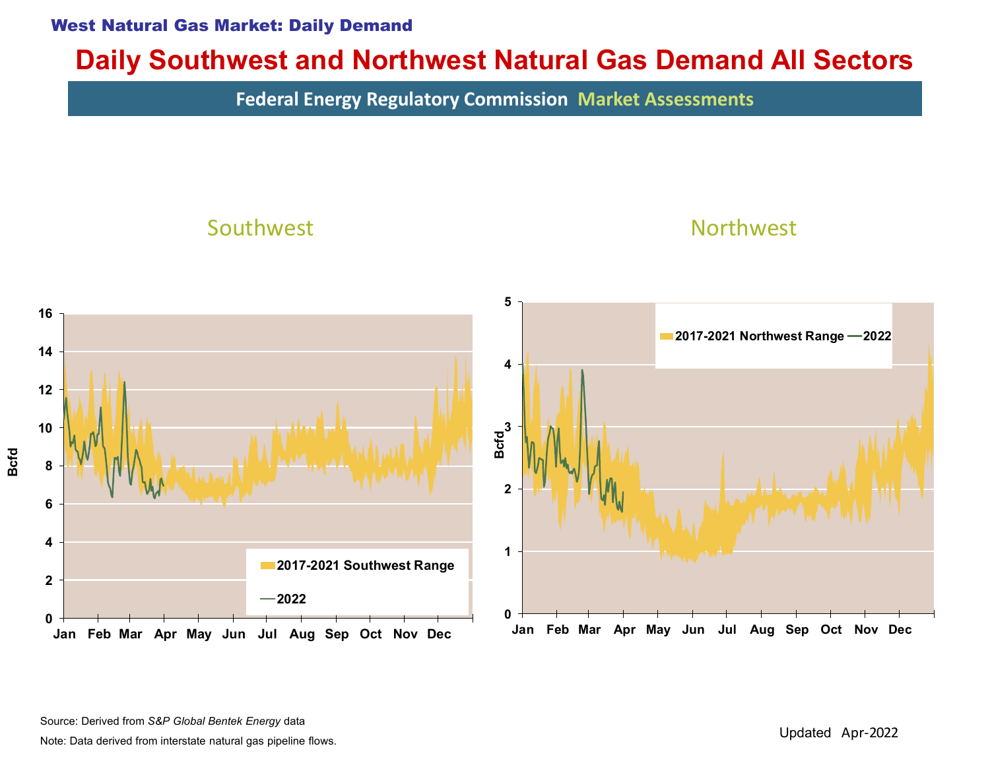#### West Natural Gas Market: Daily Demand

## Daily Southwest and Northwest Natural Gas Demand All Sectors

Federal Energy Regulatory Commission Market Assessments



Note: Data derived from interstate natural gas pipeline flows.